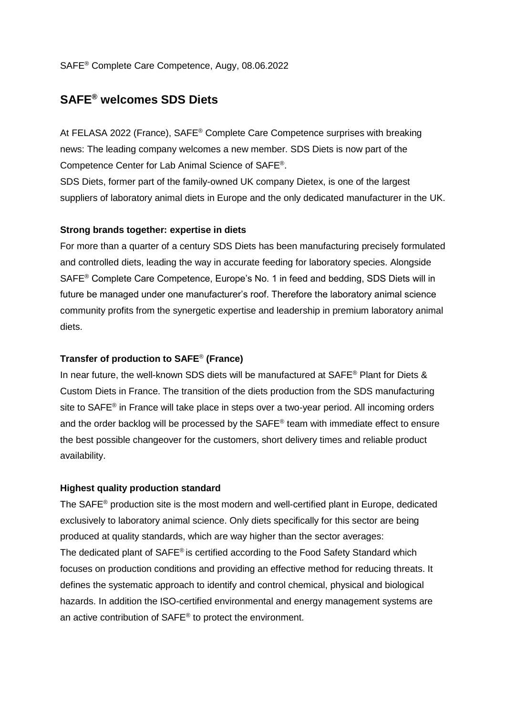## SAFE® Complete Care Competence, Augy, 08.06.2022

# **SAFE® welcomes SDS Diets**

At FELASA 2022 (France), SAFE® Complete Care Competence surprises with breaking news: The leading company welcomes a new member. SDS Diets is now part of the Competence Center for Lab Animal Science of SAFE® .

SDS Diets, former part of the family-owned UK company Dietex, is one of the largest suppliers of laboratory animal diets in Europe and the only dedicated manufacturer in the UK.

#### **Strong brands together: expertise in diets**

For more than a quarter of a century SDS Diets has been manufacturing precisely formulated and controlled diets, leading the way in accurate feeding for laboratory species. Alongside SAFE® Complete Care Competence, Europe's No. 1 in feed and bedding, SDS Diets will in future be managed under one manufacturer's roof. Therefore the laboratory animal science community profits from the synergetic expertise and leadership in premium laboratory animal diets.

#### **Transfer of production to SAFE**® **(France)**

In near future, the well-known SDS diets will be manufactured at SAFE<sup>®</sup> Plant for Diets & Custom Diets in France. The transition of the diets production from the SDS manufacturing site to SAFE<sup>®</sup> in France will take place in steps over a two-year period. All incoming orders and the order backlog will be processed by the  $SAFE<sup>®</sup>$  team with immediate effect to ensure the best possible changeover for the customers, short delivery times and reliable product availability.

### **Highest quality production standard**

The SAFE® production site is the most modern and well-certified plant in Europe, dedicated exclusively to laboratory animal science. Only diets specifically for this sector are being produced at quality standards, which are way higher than the sector averages: The dedicated plant of  $SAFE^{\circ}$  is certified according to the Food Safety Standard which focuses on production conditions and providing an effective method for reducing threats. It defines the systematic approach to identify and control chemical, physical and biological hazards. In addition the ISO-certified environmental and energy management systems are an active contribution of SAFE® to protect the environment.